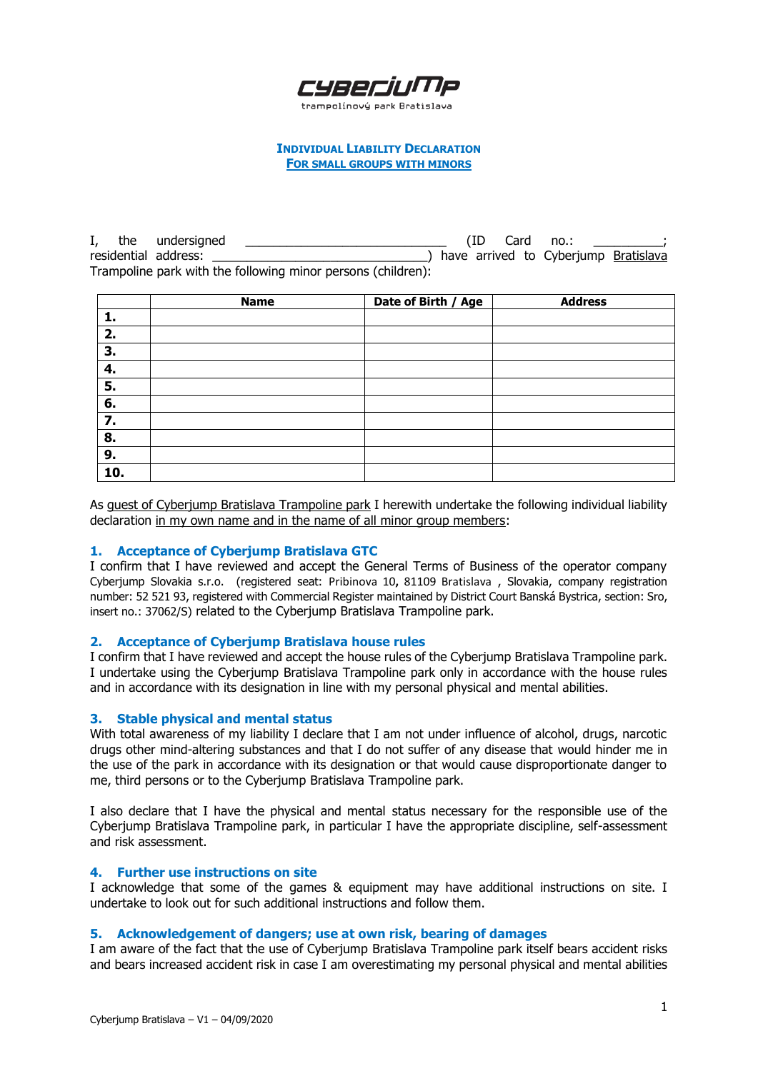

## **INDIVIDUAL LIABILITY DECLARATION FOR SMALL GROUPS WITH MINORS**

I, the undersigned  $\Box$   $\Box$   $\Box$   $\Box$   $\Box$  (ID Card no.: residential address:  $\longrightarrow$  have arrived to Cyberjump Bratislava Trampoline park with the following minor persons (children):

|     | <b>Name</b> | Date of Birth / Age | <b>Address</b> |
|-----|-------------|---------------------|----------------|
| 1.  |             |                     |                |
| 2.  |             |                     |                |
| 3.  |             |                     |                |
| 4.  |             |                     |                |
| 5.  |             |                     |                |
| 6.  |             |                     |                |
| 7.  |             |                     |                |
| 8.  |             |                     |                |
| 9.  |             |                     |                |
| 10. |             |                     |                |

As guest of Cyberjump Bratislava Trampoline park I herewith undertake the following individual liability declaration in my own name and in the name of all minor group members:

## **1. Acceptance of Cyberjump Bratislava GTC**

I confirm that I have reviewed and accept the General Terms of Business of the operator company Cyberjump Slovakia s.r.o. (registered seat: Pribinova 10**,** 81109 Bratislava , Slovakia, company registration number: 52 521 93, registered with Commercial Register maintained by District Court Banská Bystrica, section: Sro, insert no.: 37062/S) related to the Cyberjump Bratislava Trampoline park.

## **2. Acceptance of Cyberjump Bratislava house rules**

I confirm that I have reviewed and accept the house rules of the Cyberjump Bratislava Trampoline park. I undertake using the Cyberjump Bratislava Trampoline park only in accordance with the house rules and in accordance with its designation in line with my personal physical and mental abilities.

#### **3. Stable physical and mental status**

With total awareness of my liability I declare that I am not under influence of alcohol, drugs, narcotic drugs other mind-altering substances and that I do not suffer of any disease that would hinder me in the use of the park in accordance with its designation or that would cause disproportionate danger to me, third persons or to the Cyberjump Bratislava Trampoline park.

I also declare that I have the physical and mental status necessary for the responsible use of the Cyberjump Bratislava Trampoline park, in particular I have the appropriate discipline, self-assessment and risk assessment.

# **4. Further use instructions on site**

I acknowledge that some of the games & equipment may have additional instructions on site. I undertake to look out for such additional instructions and follow them.

#### **5. Acknowledgement of dangers; use at own risk, bearing of damages**

I am aware of the fact that the use of Cyberjump Bratislava Trampoline park itself bears accident risks and bears increased accident risk in case I am overestimating my personal physical and mental abilities